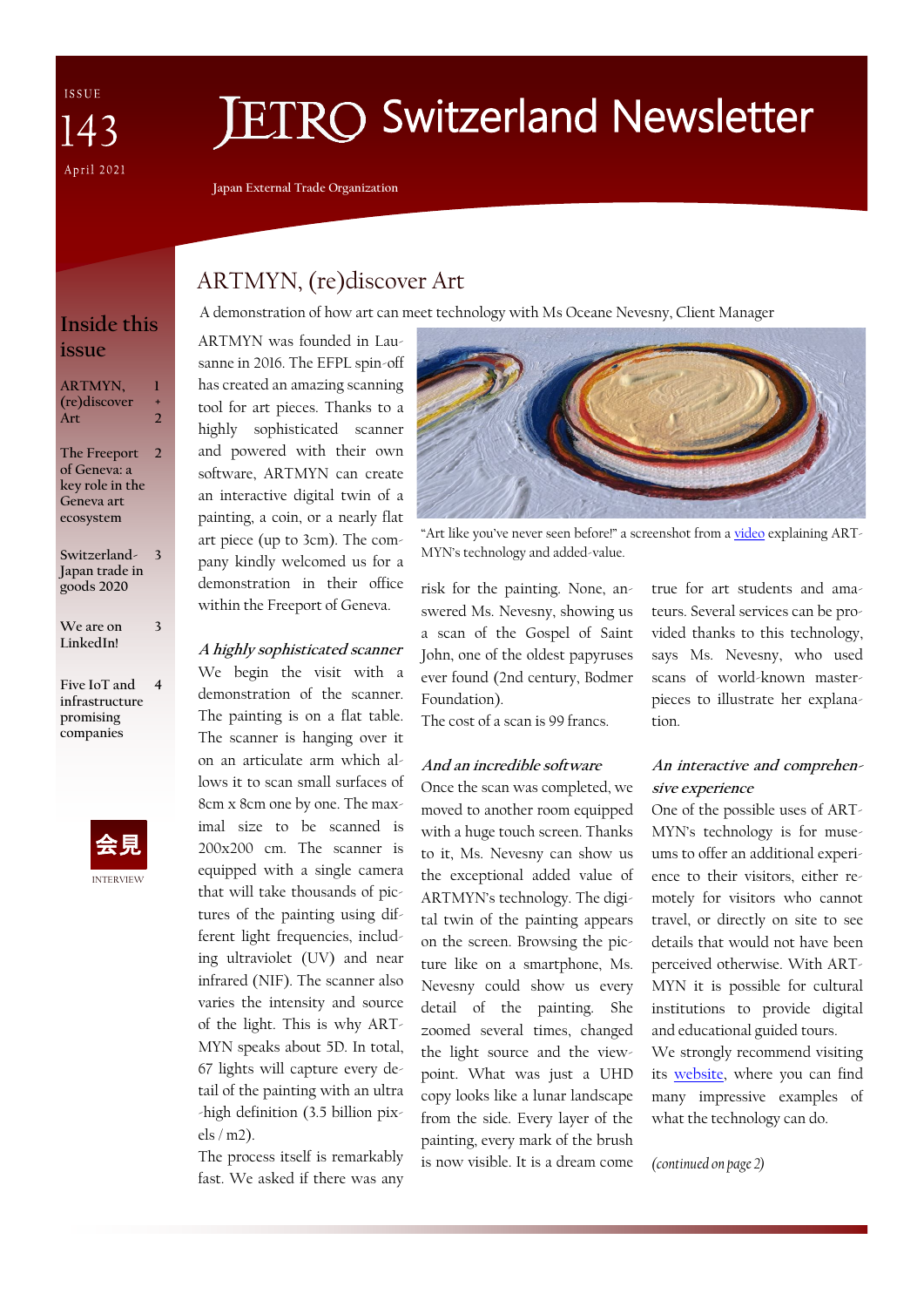ISSUE  $\Delta$ April 2021

# **ETRO Switzerland Newsletter**

**Japan External Trade Organization**

## ARTMYN, (re)discover Art

A demonstration of how art can meet technology with Ms Oceane Nevesny, Client Manager

ARTMYN was founded in Lausanne in 2016. The EFPL spin-off has created an amazing scanning tool for art pieces. Thanks to a highly sophisticated scanner and powered with their own software, ARTMYN can create an interactive digital twin of a painting, a coin, or a nearly flat art piece (up to 3cm). The company kindly welcomed us for a demonstration in their office within the Freeport of Geneva.

### **A highly sophisticated scanner**

We begin the visit with a demonstration of the scanner. The painting is on a flat table. The scanner is hanging over it on an articulate arm which allows it to scan small surfaces of 8cm x 8cm one by one. The maximal size to be scanned is 200x200 cm. The scanner is equipped with a single camera that will take thousands of pictures of the painting using different light frequencies, including ultraviolet (UV) and near infrared (NIF). The scanner also varies the intensity and source of the light. This is why ART-MYN speaks about 5D. In total, 67 lights will capture every detail of the painting with an ultra -high definition (3.5 billion pixels / m2).

The process itself is remarkably fast. We asked if there was any



"Art like you've never seen before!" a screenshot from a [video](https://vimeo.com/387907682) explaining ART-MYN's technology and added-value.

risk for the painting. None, answered Ms. Nevesny, showing us a scan of the Gospel of Saint John, one of the oldest papyruses ever found (2nd century, Bodmer Foundation).

The cost of a scan is 99 francs.

#### **And an incredible software**

Once the scan was completed, we moved to another room equipped with a huge touch screen. Thanks to it, Ms. Nevesny can show us the exceptional added value of ARTMYN's technology. The digital twin of the painting appears on the screen. Browsing the picture like on a smartphone, Ms. Nevesny could show us every detail of the painting. She zoomed several times, changed the light source and the viewpoint. What was just a UHD copy looks like a lunar landscape from the side. Every layer of the painting, every mark of the brush is now visible. It is a dream come

true for art students and amateurs. Several services can be provided thanks to this technology, says Ms. Nevesny, who used scans of world-known masterpieces to illustrate her explanation.

## **An interactive and comprehensive experience**

One of the possible uses of ART-MYN's technology is for museums to offer an additional experience to their visitors, either remotely for visitors who cannot travel, or directly on site to see details that would not have been perceived otherwise. With ART-MYN it is possible for cultural institutions to provide digital and educational guided tours. We strongly recommend visiting its [website,](https://artmyn.com/#home) where you can find many impressive examples of what the technology can do.

*(continued on page 2)*

**Inside this issue**

**ARTMYN, (re)discover Art 1 + 2 The Freeport 2**

**of Geneva: a key role in the Geneva art ecosystem**

**Switzerland-Japan trade in goods 2020 3**

**We are on LinkedIn!**

**3**

**Five IoT and infrastructure promising companies 4**

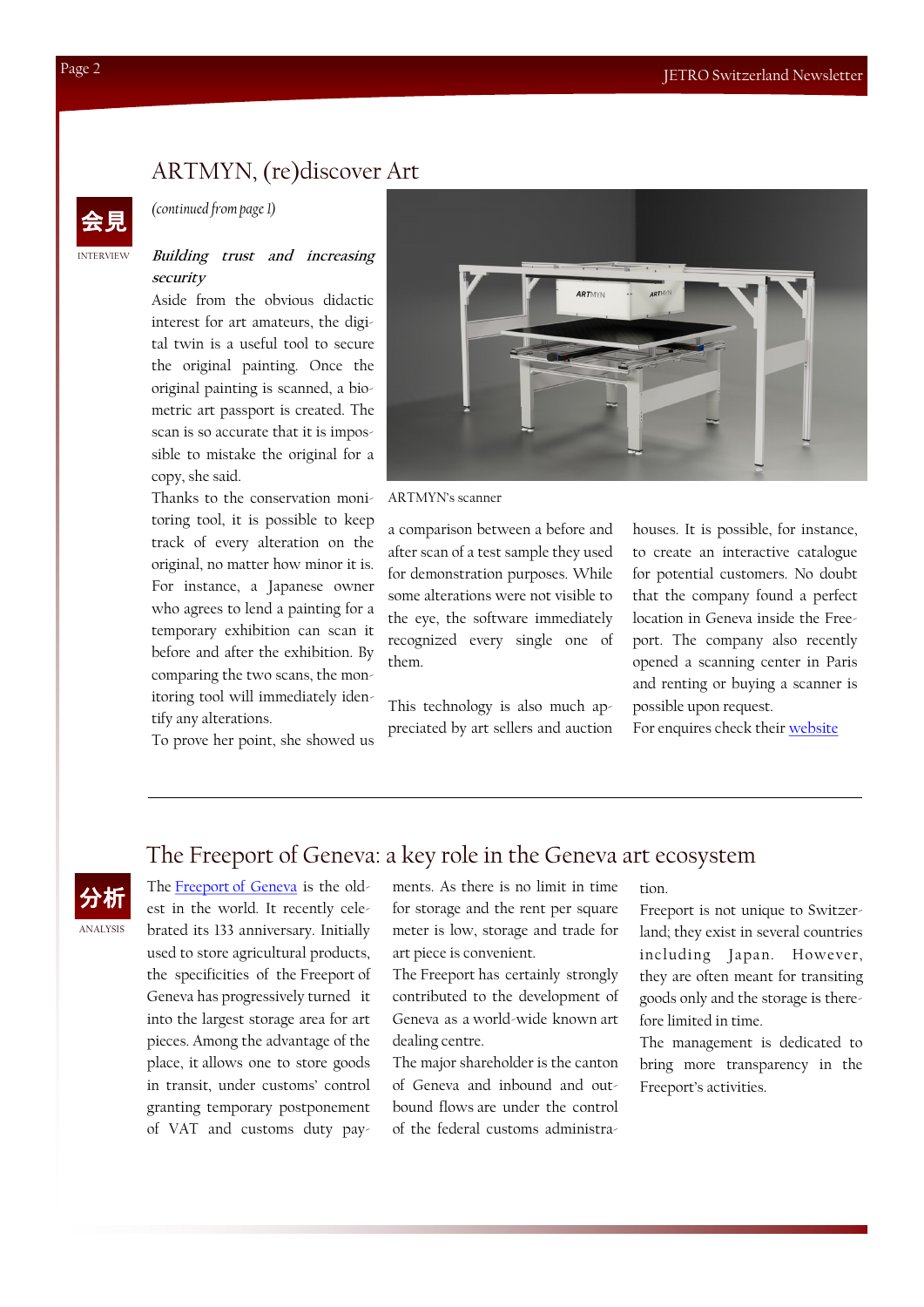## ARTMYN, (re)discover Art



ANALYSIS

## *(continued from page 1)*

#### **Building trust and increasing security**

Aside from the obvious didactic interest for art amateurs, the digital twin is a useful tool to secure the original painting. Once the original painting is scanned, a biometric art passport is created. The scan is so accurate that it is impossible to mistake the original for a copy, she said.

Thanks to the conservation monitoring tool, it is possible to keep track of every alteration on the original, no matter how minor it is. For instance, a Japanese owner who agrees to lend a painting for a temporary exhibition can scan it before and after the exhibition. By comparing the two scans, the monitoring tool will immediately identify any alterations.

To prove her point, she showed us



ARTMYN's scanner

a comparison between a before and after scan of a test sample they used for demonstration purposes. While some alterations were not visible to the eye, the software immediately recognized every single one of them.

This technology is also much appreciated by art sellers and auction houses. It is possible, for instance, to create an interactive catalogue for potential customers. No doubt that the company found a perfect location in Geneva inside the Freeport. The company also recently opened a scanning center in Paris and renting or buying a scanner is possible upon request.

For enquires check their [website](https://artmyn.com/#contact)

## The Freeport of Geneva: a key role in the Geneva art ecosystem

分析 The Freeport [of Geneva](https://geneva-freeports.ch/en/) is the oldest in the world. It recently celebrated its 133 anniversary. Initially used to store agricultural products, the specificities of the Freeport of Geneva has progressively turned it into the largest storage area for art pieces. Among the advantage of the place, it allows one to store goods in transit, under customs' control granting temporary postponement of VAT and customs duty payments. As there is no limit in time for storage and the rent per square meter is low, storage and trade for art piece is convenient.

The Freeport has certainly strongly contributed to the development of Geneva as a world-wide known art dealing centre.

The major shareholder is the canton of Geneva and inbound and outbound flows are under the control of the federal customs administration.

Freeport is not unique to Switzerland; they exist in several countries including Japan. However, they are often meant for transiting goods only and the storage is therefore limited in time.

The management is dedicated to bring more transparency in the Freeport's activities.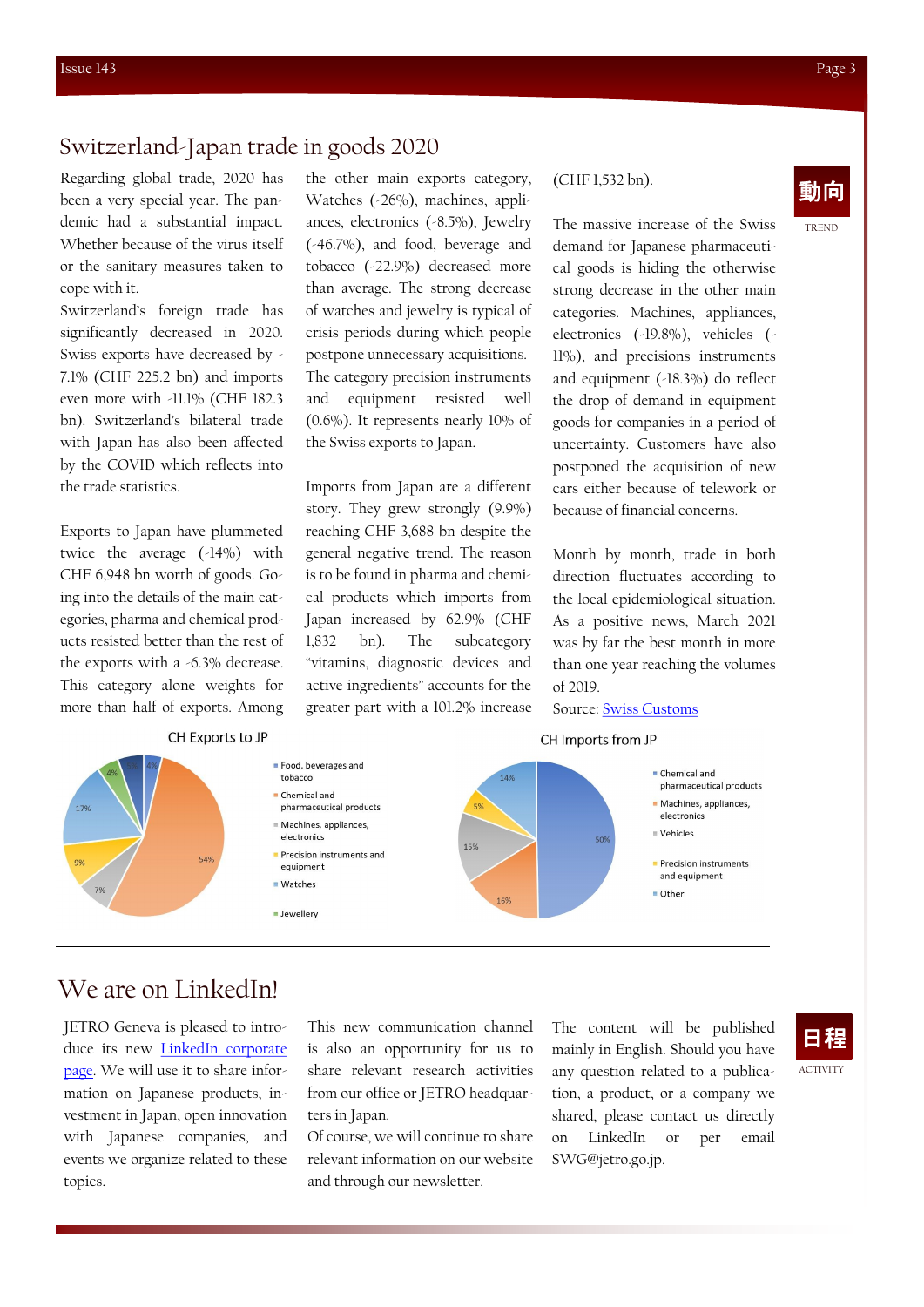## Switzerland-Japan trade in goods 2020

Regarding global trade, 2020 has been a very special year. The pandemic had a substantial impact. Whether because of the virus itself or the sanitary measures taken to cope with it.

Switzerland's foreign trade has significantly decreased in 2020. Swiss exports have decreased by - 7.1% (CHF 225.2 bn) and imports even more with -11.1% (CHF 182.3 bn). Switzerland's bilateral trade with Japan has also been affected by the COVID which reflects into the trade statistics.

Exports to Japan have plummeted twice the average (-14%) with CHF 6,948 bn worth of goods. Going into the details of the main categories, pharma and chemical products resisted better than the rest of the exports with a -6.3% decrease. This category alone weights for more than half of exports. Among

CH Exports to JP

the other main exports category, (CHF1,532 bn). Watches (-26%), machines, appliances, electronics (-8.5%), Jewelry (-46.7%), and food, beverage and tobacco (-22.9%) decreased more than average. The strong decrease of watches and jewelry is typical of crisis periods during which people postpone unnecessary acquisitions. The category precision instruments and equipment resisted well (0.6%). It represents nearly 10% of the Swiss exports to Japan.

Imports from Japan are a different story. They grew strongly (9.9%) reaching CHF 3,688 bn despite the general negative trend. The reason is to be found in pharma and chemical products which imports from Japan increased by 62.9% (CHF 1,832 bn). The subcategory "vitamins, diagnostic devices and active ingredients" accounts for the greater part with a 101.2% increase

(CHF 1,532 bn).

The massive increase of the Swiss demand for Japanese pharmaceutical goods is hiding the otherwise strong decrease in the other main categories. Machines, appliances, electronics (-19.8%), vehicles (- 11%), and precisions instruments and equipment (-18.3%) do reflect the drop of demand in equipment goods for companies in a period of uncertainty. Customers have also postponed the acquisition of new cars either because of telework or because of financial concerns.

Month by month, trade in both direction fluctuates according to the local epidemiological situation. As a positive news, March 2021 was by far the best month in more than one year reaching the volumes of 2019.

#### Source: [Swiss Customs](https://www.gate.ezv.admin.ch/swissimpex/)

#### CH Imports from JP



## We are on LinkedIn!

17%

JETRO Geneva is pleased to introduce its new [LinkedIn corporate](https://www.linkedin.com/company/jetrogeneva/)  [page.](https://www.linkedin.com/company/jetrogeneva/) We will use it to share information on Japanese products, investment in Japan, open innovation with Japanese companies, and events we organize related to these topics.

This new communication channel is also an opportunity for us to share relevant research activities from our office or JETRO headquarters in Japan.

Of course, we will continue to share relevant information on our website and through our newsletter.

The content will be published mainly in English. Should you have any question related to a publication, a product, or a company we shared, please contact us directly on LinkedIn or per email SWG@jetro.go.jp.

TREND

日程

**ACTIVITY**